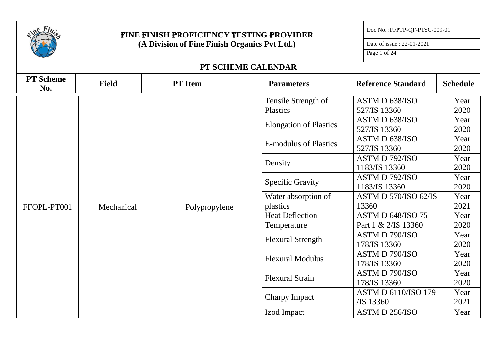|                         |                                               | <b>FINE FINISH PROFICIENCY TESTING PROVIDER</b> |                                        | Doc No.: FFPTP-QF-PTSC-009-01             |                 |
|-------------------------|-----------------------------------------------|-------------------------------------------------|----------------------------------------|-------------------------------------------|-----------------|
|                         | (A Division of Fine Finish Organics Pvt Ltd.) | Date of issue: 22-01-2021                       |                                        |                                           |                 |
|                         |                                               | Page 1 of 24                                    |                                        |                                           |                 |
|                         |                                               |                                                 | PT SCHEME CALENDAR                     |                                           |                 |
| <b>PT</b> Scheme<br>No. | <b>Field</b>                                  | <b>PT</b> Item                                  | <b>Parameters</b>                      | <b>Reference Standard</b>                 | <b>Schedule</b> |
|                         |                                               |                                                 | Tensile Strength of<br><b>Plastics</b> | ASTM D 638/ISO<br>527/IS 13360            | Year<br>2020    |
|                         |                                               |                                                 | <b>Elongation of Plastics</b>          | ASTM D 638/ISO<br>527/IS 13360            | Year<br>2020    |
|                         |                                               |                                                 | <b>E-modulus of Plastics</b>           | ASTM D 638/ISO<br>527/IS 13360            | Year<br>2020    |
|                         |                                               | Polypropylene                                   | Density                                | ASTM D 792/ISO<br>1183/IS 13360           | Year<br>2020    |
|                         |                                               |                                                 | <b>Specific Gravity</b>                | ASTM D 792/ISO<br>1183/IS 13360           | Year<br>2020    |
| FFOPL-PT001             | Mechanical                                    |                                                 | Water absorption of<br>plastics        | ASTM D 570/ISO 62/IS<br>13360             | Year<br>2021    |
|                         |                                               |                                                 | <b>Heat Deflection</b><br>Temperature  | ASTM D 648/ISO 75-<br>Part 1 & 2/IS 13360 | Year<br>2020    |
|                         |                                               |                                                 | <b>Flexural Strength</b>               | ASTM D 790/ISO<br>178/IS 13360            | Year<br>2020    |
|                         |                                               |                                                 | <b>Flexural Modulus</b>                | <b>ASTM D 790/ISO</b><br>178/IS 13360     | Year<br>2020    |
|                         |                                               |                                                 | <b>Flexural Strain</b>                 | <b>ASTM D 790/ISO</b><br>178/IS 13360     | Year<br>2020    |
|                         |                                               |                                                 | <b>Charpy Impact</b>                   | <b>ASTM D 6110/ISO 179</b><br>/IS 13360   | Year<br>2021    |
|                         |                                               |                                                 | Izod Impact                            | <b>ASTM D 256/ISO</b>                     | Year            |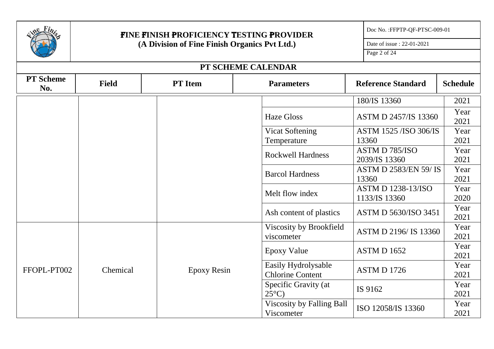|                         |              | FINE FINISH PROFICIENCY TESTING PROVIDER      |                                                | Doc No.: FFPTP-QF-PTSC-009-01              |                 |
|-------------------------|--------------|-----------------------------------------------|------------------------------------------------|--------------------------------------------|-----------------|
|                         |              | (A Division of Fine Finish Organics Pvt Ltd.) |                                                | Date of issue: 22-01-2021                  |                 |
|                         |              | Page 2 of 24                                  |                                                |                                            |                 |
|                         |              |                                               | PT SCHEME CALENDAR                             |                                            |                 |
| <b>PT</b> Scheme<br>No. | <b>Field</b> | <b>PT</b> Item                                | <b>Parameters</b>                              | <b>Reference Standard</b>                  | <b>Schedule</b> |
|                         |              |                                               |                                                | 180/IS 13360                               | 2021            |
|                         |              |                                               | <b>Haze Gloss</b>                              | <b>ASTM D 2457/IS 13360</b>                | Year<br>2021    |
|                         |              |                                               | <b>Vicat Softening</b><br>Temperature          | <b>ASTM 1525 /ISO 306/IS</b><br>13360      | Year<br>2021    |
|                         |              |                                               | <b>Rockwell Hardness</b>                       | ASTM D 785/ISO<br>2039/IS 13360            | Year<br>2021    |
|                         |              |                                               | <b>Barcol Hardness</b>                         | <b>ASTM D 2583/EN 59/IS</b><br>13360       | Year<br>2021    |
|                         |              |                                               | Melt flow index                                | <b>ASTM D 1238-13/ISO</b><br>1133/IS 13360 | Year<br>2020    |
|                         |              |                                               | Ash content of plastics                        | ASTM D 5630/ISO 3451                       | Year<br>2021    |
|                         |              |                                               | Viscosity by Brookfield<br>viscometer          | ASTM D 2196/IS 13360                       | Year<br>2021    |
|                         |              |                                               | <b>Epoxy Value</b>                             | <b>ASTM D 1652</b>                         | Year<br>2021    |
| FFOPL-PT002             | Chemical     | <b>Epoxy Resin</b>                            | Easily Hydrolysable<br><b>Chlorine Content</b> | <b>ASTM D 1726</b>                         | Year<br>2021    |
|                         |              |                                               | Specific Gravity (at<br>$25^{\circ}$ C)        | IS 9162                                    | Year<br>2021    |
|                         |              |                                               | Viscosity by Falling Ball<br>Viscometer        | ISO 12058/IS 13360                         | Year<br>2021    |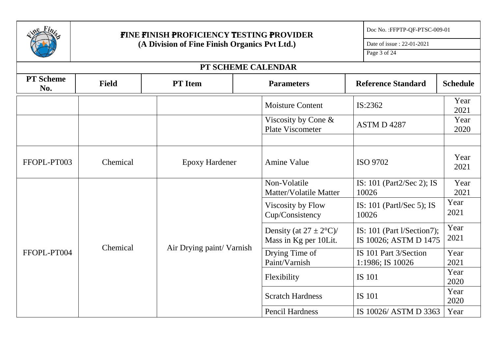| Fi <sub>n</sub>         |              | <b>FINE FINISH PROFICIENCY TESTING PROVIDER</b> |             |                                                      | Doc No.: FFPTP-QF-PTSC-009-01 |                                                     |                 |
|-------------------------|--------------|-------------------------------------------------|-------------|------------------------------------------------------|-------------------------------|-----------------------------------------------------|-----------------|
|                         |              | (A Division of Fine Finish Organics Pvt Ltd.)   |             |                                                      |                               | Date of issue: 22-01-2021                           |                 |
|                         |              |                                                 |             |                                                      |                               | Page 3 of 24                                        |                 |
|                         |              |                                                 |             | PT SCHEME CALENDAR                                   |                               |                                                     |                 |
| <b>PT</b> Scheme<br>No. | <b>Field</b> | <b>PT</b> Item                                  |             | <b>Parameters</b>                                    |                               | <b>Reference Standard</b>                           | <b>Schedule</b> |
|                         |              |                                                 |             | <b>Moisture Content</b>                              |                               | IS:2362                                             | Year<br>2021    |
|                         |              |                                                 |             | Viscosity by Cone &<br>Plate Viscometer              |                               | ASTM D 4287                                         | Year<br>2020    |
|                         |              |                                                 |             |                                                      |                               |                                                     |                 |
| FFOPL-PT003             | Chemical     | <b>Epoxy Hardener</b>                           |             | <b>Amine Value</b>                                   |                               | ISO 9702                                            | Year<br>2021    |
|                         |              |                                                 |             | Non-Volatile<br>Matter/Volatile Matter               |                               | IS: 101 (Part2/Sec 2); IS<br>10026                  | Year<br>2021    |
|                         |              |                                                 |             | Viscosity by Flow<br>Cup/Consistency                 |                               | IS: $101$ (Partl/Sec 5); IS<br>10026                | Year<br>2021    |
|                         |              |                                                 |             | Density (at $27 \pm 2$ °C)/<br>Mass in Kg per 10Lit. |                               | IS: 101 (Part l/Section7);<br>IS 10026; ASTM D 1475 | Year<br>2021    |
| FFOPL-PT004             | Chemical     | Air Drying paint/Varnish                        |             | Drying Time of<br>Paint/Varnish                      |                               | IS 101 Part 3/Section<br>1:1986; IS 10026           | Year<br>2021    |
|                         |              |                                                 | Flexibility |                                                      | <b>IS 101</b>                 | Year<br>2020                                        |                 |
|                         |              |                                                 |             | <b>Scratch Hardness</b>                              |                               | <b>IS 101</b>                                       | Year<br>2020    |
|                         |              |                                                 |             | <b>Pencil Hardness</b>                               |                               | IS 10026/ ASTM D 3363                               | Year            |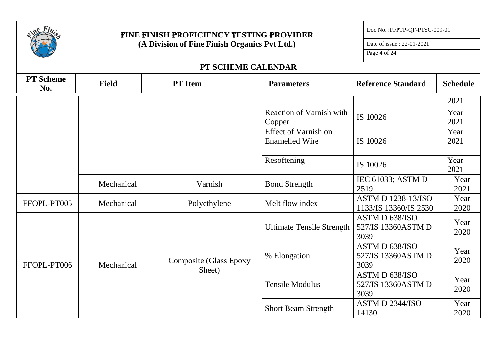|                         |              | <b>FINE FINISH PROFICIENCY TESTING PROVIDER</b> |                                               | Doc No.: FFPTP-QF-PTSC-009-01                      |                 |
|-------------------------|--------------|-------------------------------------------------|-----------------------------------------------|----------------------------------------------------|-----------------|
|                         |              | (A Division of Fine Finish Organics Pvt Ltd.)   |                                               | Date of issue: 22-01-2021                          |                 |
|                         |              |                                                 |                                               | Page 4 of 24                                       |                 |
|                         |              | PT SCHEME CALENDAR                              |                                               |                                                    |                 |
| <b>PT</b> Scheme<br>No. | <b>Field</b> | <b>PT</b> Item                                  | <b>Parameters</b>                             | <b>Reference Standard</b>                          | <b>Schedule</b> |
|                         |              |                                                 |                                               |                                                    | 2021            |
|                         |              |                                                 | <b>Reaction of Varnish with</b><br>Copper     | IS 10026                                           | Year<br>2021    |
|                         |              |                                                 | Effect of Varnish on<br><b>Enamelled Wire</b> | IS 10026                                           | Year<br>2021    |
|                         |              |                                                 | Resoftening                                   | IS 10026                                           | Year<br>2021    |
|                         | Mechanical   | Varnish                                         | <b>Bond Strength</b>                          | IEC 61033; ASTM D<br>2519                          | Year<br>2021    |
| FFOPL-PT005             | Mechanical   | Polyethylene                                    | Melt flow index                               | <b>ASTM D 1238-13/ISO</b><br>1133/IS 13360/IS 2530 | Year<br>2020    |
|                         |              |                                                 | <b>Ultimate Tensile Strength</b>              | ASTM D 638/ISO<br>527/IS 13360ASTM D<br>3039       | Year<br>2020    |
| FFOPL-PT006             | Mechanical   | Composite (Glass Epoxy                          | % Elongation                                  | ASTM D 638/ISO<br>527/IS 13360ASTM D<br>3039       | Year<br>2020    |
|                         |              | Sheet)                                          | <b>Tensile Modulus</b>                        | ASTM D 638/ISO<br>527/IS 13360ASTM D<br>3039       | Year<br>2020    |
|                         |              |                                                 | <b>Short Beam Strength</b>                    | ASTM D 2344/ISO<br>14130                           | Year<br>2020    |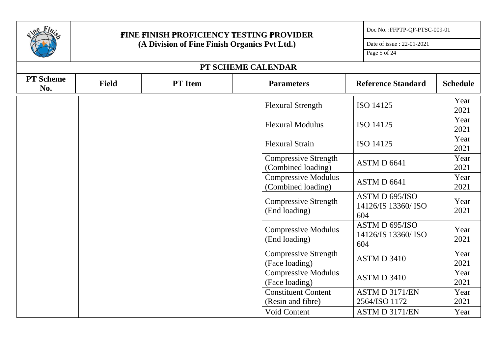|                         | <b>FINE FINISH PROFICIENCY TESTING PROVIDER</b> | Doc No.: FFPTP-QF-PTSC-009-01 |                                                   |                                              |                 |
|-------------------------|-------------------------------------------------|-------------------------------|---------------------------------------------------|----------------------------------------------|-----------------|
|                         | (A Division of Fine Finish Organics Pvt Ltd.)   |                               |                                                   | Date of issue: 22-01-2021                    |                 |
|                         |                                                 |                               |                                                   | Page 5 of 24                                 |                 |
|                         |                                                 |                               | PT SCHEME CALENDAR                                |                                              |                 |
| <b>PT</b> Scheme<br>No. | <b>Field</b>                                    | <b>PT</b> Item                | <b>Parameters</b>                                 | <b>Reference Standard</b>                    | <b>Schedule</b> |
|                         |                                                 |                               | <b>Flexural Strength</b>                          | ISO 14125                                    | Year<br>2021    |
|                         |                                                 |                               | <b>Flexural Modulus</b>                           | ISO 14125                                    | Year<br>2021    |
|                         |                                                 |                               | <b>Flexural Strain</b>                            | ISO 14125                                    | Year<br>2021    |
|                         |                                                 |                               | <b>Compressive Strength</b><br>(Combined loading) | ASTM D 6641                                  | Year<br>2021    |
|                         |                                                 |                               | <b>Compressive Modulus</b><br>(Combined loading)  | ASTM D 6641                                  | Year<br>2021    |
|                         |                                                 |                               | <b>Compressive Strength</b><br>(End loading)      | ASTM D 695/ISO<br>14126/IS 13360/ ISO<br>604 | Year<br>2021    |
|                         |                                                 |                               | <b>Compressive Modulus</b><br>(End loading)       | ASTM D 695/ISO<br>14126/IS 13360/ ISO<br>604 | Year<br>2021    |
|                         |                                                 |                               | <b>Compressive Strength</b><br>(Face loading)     | <b>ASTM D 3410</b>                           | Year<br>2021    |
|                         |                                                 |                               | <b>Compressive Modulus</b><br>(Face loading)      | ASTM D 3410                                  | Year<br>2021    |
|                         |                                                 |                               | <b>Constituent Content</b>                        | ASTM D 3171/EN                               | Year            |
|                         |                                                 |                               | (Resin and fibre)                                 | 2564/ISO 1172                                | 2021            |
|                         |                                                 |                               | <b>Void Content</b>                               | ASTM D 3171/EN                               | Year            |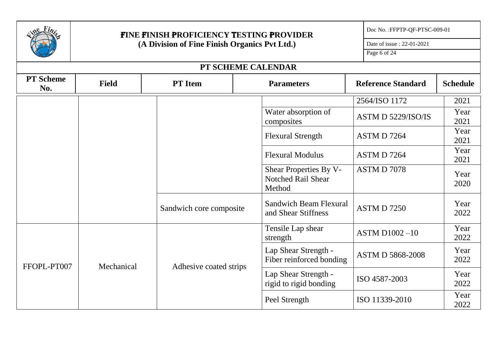|                         |                                               | FINE FINISH PROFICIENCY TESTING PROVIDER |                                                                      | Doc No.: FFPTP-QF-PTSC-009-01 |                 |
|-------------------------|-----------------------------------------------|------------------------------------------|----------------------------------------------------------------------|-------------------------------|-----------------|
|                         | (A Division of Fine Finish Organics Pvt Ltd.) | Date of issue: 22-01-2021                |                                                                      |                               |                 |
|                         |                                               |                                          |                                                                      | Page 6 of 24                  |                 |
|                         |                                               | PT SCHEME CALENDAR                       |                                                                      |                               |                 |
| <b>PT</b> Scheme<br>No. | <b>Field</b>                                  | <b>PT</b> Item                           | <b>Parameters</b>                                                    | <b>Reference Standard</b>     | <b>Schedule</b> |
|                         |                                               |                                          |                                                                      | 2564/ISO 1172                 | 2021            |
|                         |                                               |                                          | Water absorption of<br>composites                                    | ASTM D 5229/ISO/IS            | Year<br>2021    |
|                         |                                               |                                          | <b>Flexural Strength</b>                                             | ASTM D 7264                   | Year<br>2021    |
|                         |                                               |                                          | <b>Flexural Modulus</b>                                              | ASTM D7264                    | Year<br>2021    |
|                         |                                               |                                          | <b>Shear Properties By V-</b><br><b>Notched Rail Shear</b><br>Method | ASTM D 7078                   | Year<br>2020    |
|                         |                                               | Sandwich core composite                  | <b>Sandwich Beam Flexural</b><br>and Shear Stiffness                 | <b>ASTM D 7250</b>            | Year<br>2022    |
|                         |                                               |                                          | Tensile Lap shear<br>strength                                        | $ASTM D1002 -10$              | Year<br>2022    |
| FFOPL-PT007             | Mechanical                                    | Adhesive coated strips                   | Lap Shear Strength -<br>Fiber reinforced bonding                     | <b>ASTM D 5868-2008</b>       | Year<br>2022    |
|                         |                                               |                                          | Lap Shear Strength -<br>rigid to rigid bonding                       | ISO 4587-2003                 | Year<br>2022    |
|                         |                                               |                                          | Peel Strength                                                        | ISO 11339-2010                | Year<br>2022    |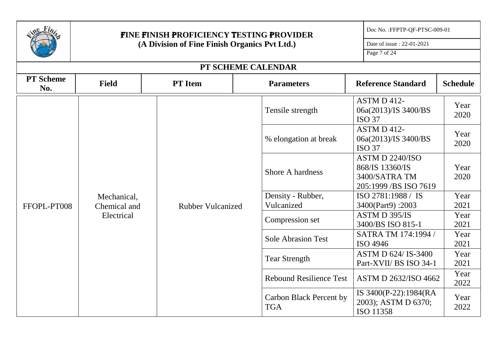|                         |                                               | <b>FINE FINISH PROFICIENCY TESTING PROVIDER</b> |                                       | Doc No.: FFPTP-QF-PTSC-009-01                                                 |                              |
|-------------------------|-----------------------------------------------|-------------------------------------------------|---------------------------------------|-------------------------------------------------------------------------------|------------------------------|
|                         | (A Division of Fine Finish Organics Pvt Ltd.) | Date of issue: 22-01-2021                       |                                       |                                                                               |                              |
|                         |                                               | Page 7 of 24                                    |                                       |                                                                               |                              |
|                         |                                               |                                                 | PT SCHEME CALENDAR                    |                                                                               |                              |
| <b>PT</b> Scheme<br>No. | <b>Field</b>                                  | <b>PT</b> Item                                  | <b>Parameters</b>                     | <b>Reference Standard</b>                                                     | <b>Schedule</b>              |
|                         |                                               |                                                 | Tensile strength                      | ASTM D 412-<br>06a(2013)/IS 3400/BS<br><b>ISO 37</b>                          | Year<br>2020                 |
|                         |                                               |                                                 | % elongation at break                 | <b>ASTM D 412-</b><br>06a(2013)/IS 3400/BS<br><b>ISO 37</b>                   | Year<br>2020                 |
|                         | Mechanical,<br>Chemical and<br>Electrical     | <b>Rubber Vulcanized</b>                        | Shore A hardness                      | ASTM D 2240/ISO<br>868/IS 13360/IS<br>3400/SATRA TM<br>205:1999 / BS ISO 7619 | Year<br>2020<br>Year<br>2021 |
| FFOPL-PT008             |                                               |                                                 | Density - Rubber,<br>Vulcanized       | ISO 2781:1988 / IS<br>3400(Part9):2003                                        |                              |
|                         |                                               |                                                 | Compression set                       | ASTM D 395/IS<br>3400/BS ISO 815-1                                            | Year<br>2021                 |
|                         |                                               |                                                 | <b>Sole Abrasion Test</b>             | SATRA TM 174:1994 /<br>ISO 4946                                               | Year<br>2021                 |
|                         |                                               |                                                 | <b>Tear Strength</b>                  | ASTM D 624/ IS-3400<br>Part-XVII/ BS ISO 34-1                                 | Year<br>2021                 |
|                         |                                               |                                                 | <b>Rebound Resilience Test</b>        | ASTM D 2632/ISO 4662                                                          | Year<br>2022                 |
|                         |                                               |                                                 | Carbon Black Percent by<br><b>TGA</b> | IS 3400(P-22):1984(RA<br>2003); ASTM D 6370;<br>ISO 11358                     | Year<br>2022                 |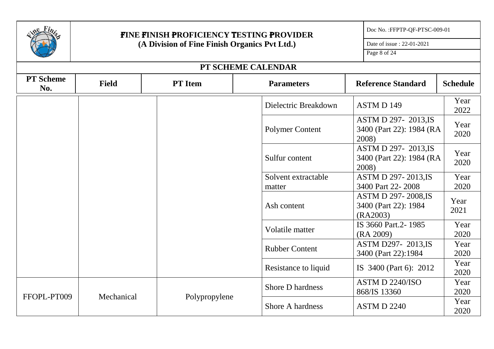|                         |                             | <b>FINE FINISH PROFICIENCY TESTING PROVIDER</b> |                               | Doc No.: FFPTP-QF-PTSC-009-01                                   |                 |
|-------------------------|-----------------------------|-------------------------------------------------|-------------------------------|-----------------------------------------------------------------|-----------------|
|                         |                             | (A Division of Fine Finish Organics Pvt Ltd.)   |                               | Date of issue: 22-01-2021                                       |                 |
|                         |                             | Page 8 of 24                                    |                               |                                                                 |                 |
|                         |                             |                                                 | PT SCHEME CALENDAR            |                                                                 |                 |
| <b>PT</b> Scheme<br>No. | <b>Field</b>                | <b>PT</b> Item                                  | <b>Parameters</b>             | <b>Reference Standard</b>                                       | <b>Schedule</b> |
|                         |                             |                                                 | Dielectric Breakdown          | ASTM D 149                                                      | Year<br>2022    |
|                         |                             |                                                 | Polymer Content               | <b>ASTM D 297-2013, IS</b><br>3400 (Part 22): 1984 (RA<br>2008) | Year<br>2020    |
|                         |                             |                                                 | Sulfur content                | <b>ASTM D 297-2013,IS</b><br>3400 (Part 22): 1984 (RA<br>2008)  | Year<br>2020    |
|                         |                             |                                                 | Solvent extractable<br>matter | <b>ASTM D 297-2013,IS</b><br>3400 Part 22-2008                  | Year<br>2020    |
|                         |                             |                                                 | Ash content                   | <b>ASTM D 297-2008,IS</b><br>3400 (Part 22): 1984<br>(RA2003)   | Year<br>2021    |
|                         |                             |                                                 | Volatile matter               | IS 3660 Part.2-1985<br>(RA 2009)                                | Year<br>2020    |
|                         |                             |                                                 | <b>Rubber Content</b>         | <b>ASTM D297-2013.IS</b><br>3400 (Part 22):1984                 | Year<br>2020    |
|                         |                             |                                                 | Resistance to liquid          | IS 3400 (Part 6): 2012                                          | Year<br>2020    |
|                         |                             |                                                 | <b>Shore D hardness</b>       | ASTM D 2240/ISO<br>868/IS 13360                                 | Year<br>2020    |
| FFOPL-PT009             | Mechanical<br>Polypropylene |                                                 | Shore A hardness              | <b>ASTM D 2240</b>                                              | Year<br>2020    |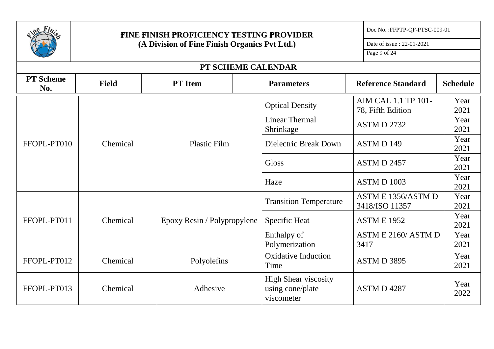

## F**INE** F**INISH** P**ROFICIENCY** T**ESTING** P**ROVIDER (A Division of Fine Finish Organics Pvt Ltd.)**

Doc No. :FFPTP-QF-PTSC-009-01

Date of issue : 22-01-2021

Page 9 of 24

| PT SCHEME CALENDAR      |              |                             |                                                               |                                          |                 |  |  |  |
|-------------------------|--------------|-----------------------------|---------------------------------------------------------------|------------------------------------------|-----------------|--|--|--|
| <b>PT</b> Scheme<br>No. | <b>Field</b> | <b>PT</b> Item              | <b>Parameters</b>                                             | <b>Reference Standard</b>                | <b>Schedule</b> |  |  |  |
|                         |              |                             | <b>Optical Density</b>                                        | AIM CAL 1.1 TP 101-<br>78, Fifth Edition | Year<br>2021    |  |  |  |
|                         |              |                             | <b>Linear Thermal</b><br>Shrinkage                            | ASTM D 2732                              | Year<br>2021    |  |  |  |
| FFOPL-PT010             | Chemical     | <b>Plastic Film</b>         | Dielectric Break Down                                         | ASTM D 149                               | Year<br>2021    |  |  |  |
|                         |              |                             | <b>Gloss</b>                                                  | ASTM D 2457                              | Year<br>2021    |  |  |  |
|                         |              |                             | Haze                                                          | ASTM D 1003                              | Year<br>2021    |  |  |  |
|                         | Chemical     | Epoxy Resin / Polypropylene | <b>Transition Temperature</b>                                 | ASTM E 1356/ASTM D<br>3418/ISO 11357     | Year<br>2021    |  |  |  |
| FFOPL-PT011             |              |                             | <b>Specific Heat</b>                                          | <b>ASTM E 1952</b>                       | Year<br>2021    |  |  |  |
|                         |              |                             | Enthalpy of<br>Polymerization                                 | ASTM E 2160/ASTM D<br>3417               | Year<br>2021    |  |  |  |
| FFOPL-PT012             | Chemical     | Polyolefins                 | <b>Oxidative Induction</b><br>Time                            | ASTM D 3895                              | Year<br>2021    |  |  |  |
| FFOPL-PT013             | Chemical     | Adhesive                    | <b>High Shear viscosity</b><br>using cone/plate<br>viscometer | <b>ASTM D 4287</b>                       | Year<br>2022    |  |  |  |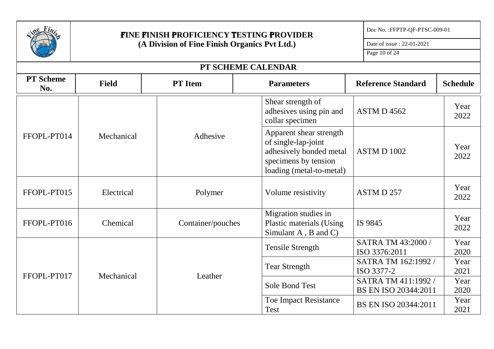

## F**INE** F**INISH** P**ROFICIENCY** T**ESTING** P**ROVIDER (A Division of Fine Finish Organics Pvt Ltd.)**

Doc No. :FFPTP-QF-PTSC-009-01

Date of issue : 22-01-2021

Page 10 of 24

| PT SCHEME CALENDAR      |              |                       |                                                                                                                               |                                             |                 |  |  |  |
|-------------------------|--------------|-----------------------|-------------------------------------------------------------------------------------------------------------------------------|---------------------------------------------|-----------------|--|--|--|
| <b>PT</b> Scheme<br>No. | <b>Field</b> | <b>PT</b> Item        | <b>Parameters</b>                                                                                                             | <b>Reference Standard</b>                   | <b>Schedule</b> |  |  |  |
|                         |              |                       | Shear strength of<br>adhesives using pin and<br>collar specimen                                                               | <b>ASTM D 4562</b>                          | Year<br>2022    |  |  |  |
| FFOPL-PT014             | Mechanical   | Adhesive              | Apparent shear strength<br>of single-lap-joint<br>adhesively bonded metal<br>specimens by tension<br>loading (metal-to-metal) | <b>ASTM D 1002</b>                          | Year<br>2022    |  |  |  |
| FFOPL-PT015             | Electrical   | Polymer               | Volume resistivity                                                                                                            | ASTM D 257                                  | Year<br>2022    |  |  |  |
| FFOPL-PT016             | Chemical     | Container/pouches     | Migration studies in<br><b>Plastic materials (Using</b><br>Simulant A, B and C)                                               | IS 9845                                     | Year<br>2022    |  |  |  |
|                         |              |                       | <b>Tensile Strength</b>                                                                                                       | SATRA TM 43:2000 /<br>ISO 3376:2011         | Year<br>2020    |  |  |  |
| FFOPL-PT017             |              |                       | <b>Tear Strength</b>                                                                                                          | SATRA TM 162:1992 /<br>ISO 3377-2           | Year<br>2021    |  |  |  |
|                         |              | Mechanical<br>Leather | <b>Sole Bond Test</b>                                                                                                         | SATRA TM 411:1992 /<br>BS EN ISO 20344:2011 | Year<br>2020    |  |  |  |
|                         |              |                       | <b>Toe Impact Resistance</b><br><b>Test</b>                                                                                   | BS EN ISO 20344:2011                        | Year<br>2021    |  |  |  |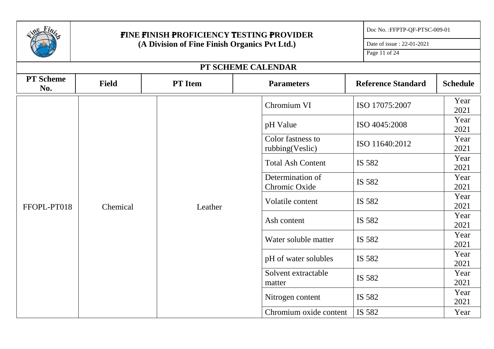|                         |              | FINE FINISH PROFICIENCY TESTING PROVIDER |                                               | Doc No.: FFPTP-QF-PTSC-009-01 |                 |
|-------------------------|--------------|------------------------------------------|-----------------------------------------------|-------------------------------|-----------------|
|                         |              |                                          | (A Division of Fine Finish Organics Pvt Ltd.) |                               |                 |
|                         |              | Page 11 of 24                            |                                               |                               |                 |
|                         |              |                                          | PT SCHEME CALENDAR                            |                               |                 |
| <b>PT</b> Scheme<br>No. | <b>Field</b> | <b>PT</b> Item                           | <b>Parameters</b>                             | <b>Reference Standard</b>     | <b>Schedule</b> |
|                         |              |                                          | Chromium VI                                   | ISO 17075:2007                | Year<br>2021    |
|                         |              |                                          | pH Value                                      | ISO 4045:2008                 | Year<br>2021    |
|                         |              |                                          | Color fastness to<br>rubbing(Veslic)          | ISO 11640:2012                | Year<br>2021    |
|                         | Chemical     | Leather                                  | <b>Total Ash Content</b>                      | IS 582                        | Year<br>2021    |
|                         |              |                                          | Determination of<br>Chromic Oxide             | IS 582                        | Year<br>2021    |
| FFOPL-PT018             |              |                                          | Volatile content                              | IS 582                        | Year<br>2021    |
|                         |              |                                          | Ash content                                   | IS 582                        | Year<br>2021    |
|                         |              |                                          | Water soluble matter                          | IS 582                        | Year<br>2021    |
|                         |              |                                          | pH of water solubles                          | IS 582                        | Year<br>2021    |
|                         |              |                                          | Solvent extractable<br>matter                 | IS 582                        | Year<br>2021    |
|                         |              |                                          | Nitrogen content                              | IS 582                        | Year<br>2021    |
|                         |              |                                          | Chromium oxide content                        | IS 582                        | Year            |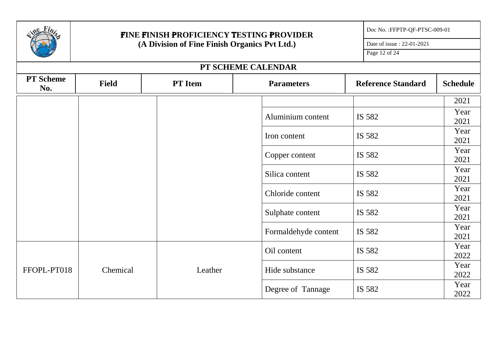|                         |              | FINE FINISH PROFICIENCY TESTING PROVIDER      |                      | Doc No.: FFPTP-QF-PTSC-009-01 |                 |
|-------------------------|--------------|-----------------------------------------------|----------------------|-------------------------------|-----------------|
|                         |              | (A Division of Fine Finish Organics Pvt Ltd.) |                      | Date of issue: 22-01-2021     |                 |
|                         |              |                                               |                      | Page 12 of 24                 |                 |
|                         |              |                                               | PT SCHEME CALENDAR   |                               |                 |
| <b>PT</b> Scheme<br>No. | <b>Field</b> | <b>PT</b> Item                                | <b>Parameters</b>    | <b>Reference Standard</b>     | <b>Schedule</b> |
|                         |              |                                               |                      |                               | 2021            |
|                         |              |                                               | Aluminium content    | IS 582                        | Year<br>2021    |
|                         |              |                                               | Iron content         | IS 582                        | Year<br>2021    |
|                         |              |                                               | Copper content       | IS 582                        | Year<br>2021    |
|                         |              |                                               | Silica content       | IS 582                        | Year<br>2021    |
|                         |              |                                               | Chloride content     | IS 582                        | Year<br>2021    |
|                         |              |                                               | Sulphate content     | IS 582                        | Year<br>2021    |
|                         |              |                                               | Formaldehyde content | IS 582                        | Year<br>2021    |
|                         |              |                                               | Oil content          | IS 582                        | Year<br>2022    |
| FFOPL-PT018             | Chemical     | Leather                                       | Hide substance       | IS 582                        | Year<br>2022    |
|                         |              |                                               | Degree of Tannage    | IS 582                        | Year<br>2022    |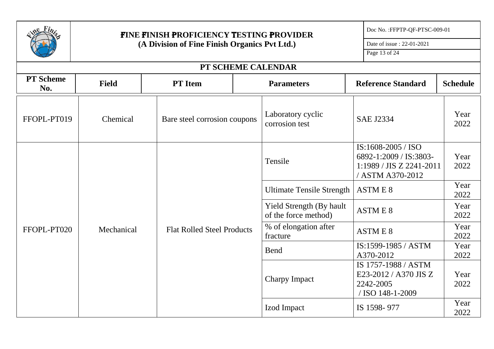|                         | <b>FINE FINISH PROFICIENCY TESTING PROVIDER</b> |                                            | Doc No.: FFPTP-QF-PTSC-009-01                            |                                                                                              |                 |
|-------------------------|-------------------------------------------------|--------------------------------------------|----------------------------------------------------------|----------------------------------------------------------------------------------------------|-----------------|
|                         | (A Division of Fine Finish Organics Pvt Ltd.)   | Date of issue: 22-01-2021<br>Page 13 of 24 |                                                          |                                                                                              |                 |
|                         |                                                 |                                            |                                                          |                                                                                              |                 |
|                         |                                                 | PT SCHEME CALENDAR                         |                                                          |                                                                                              |                 |
| <b>PT</b> Scheme<br>No. | <b>Field</b>                                    | <b>PT</b> Item                             | <b>Parameters</b>                                        | <b>Reference Standard</b>                                                                    | <b>Schedule</b> |
| FFOPL-PT019             | Chemical                                        | Bare steel corrosion coupons               | Laboratory cyclic<br>corrosion test                      | <b>SAE J2334</b>                                                                             | Year<br>2022    |
|                         | Mechanical                                      |                                            | Tensile                                                  | IS:1608-2005 / ISO<br>6892-1:2009 / IS:3803-<br>1:1989 / JIS Z 2241-2011<br>/ ASTM A370-2012 | Year<br>2022    |
|                         |                                                 |                                            | <b>Ultimate Tensile Strength</b>                         | <b>ASTME 8</b>                                                                               | Year<br>2022    |
|                         |                                                 |                                            | <b>Yield Strength (By hault)</b><br>of the force method) | <b>ASTME 8</b>                                                                               | Year<br>2022    |
| FFOPL-PT020             |                                                 | <b>Flat Rolled Steel Products</b>          | % of elongation after<br>fracture                        | <b>ASTME 8</b>                                                                               | Year<br>2022    |
|                         |                                                 |                                            | <b>Bend</b>                                              | IS:1599-1985 / ASTM<br>A370-2012                                                             | Year<br>2022    |
|                         |                                                 |                                            | <b>Charpy Impact</b>                                     | IS 1757-1988 / ASTM<br>E23-2012 / A370 JIS Z<br>2242-2005<br>/ ISO 148-1-2009                | Year<br>2022    |
|                         |                                                 |                                            | Izod Impact                                              | IS 1598-977                                                                                  | Year<br>2022    |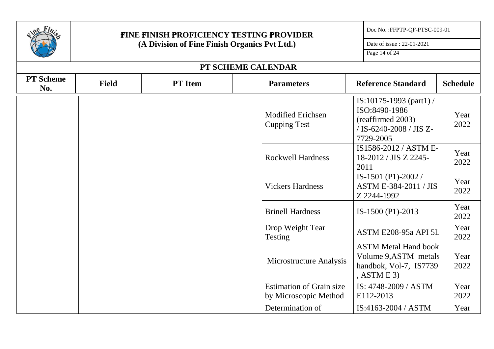|                         | <b>FINE FINISH PROFICIENCY TESTING PROVIDER</b> | Doc No.: FFPTP-QF-PTSC-009-01 |                                                          |                                                                                                       |                 |
|-------------------------|-------------------------------------------------|-------------------------------|----------------------------------------------------------|-------------------------------------------------------------------------------------------------------|-----------------|
|                         | (A Division of Fine Finish Organics Pvt Ltd.)   |                               |                                                          | Date of issue: 22-01-2021                                                                             |                 |
|                         |                                                 |                               |                                                          | Page 14 of 24                                                                                         |                 |
|                         |                                                 |                               | PT SCHEME CALENDAR                                       |                                                                                                       |                 |
| <b>PT</b> Scheme<br>No. | <b>Field</b>                                    | <b>PT</b> Item                | <b>Parameters</b>                                        | <b>Reference Standard</b>                                                                             | <b>Schedule</b> |
|                         |                                                 |                               | <b>Modified Erichsen</b><br><b>Cupping Test</b>          | IS:10175-1993 (part1) /<br>ISO:8490-1986<br>(reaffirmed 2003)<br>/ IS-6240-2008 / JIS Z-<br>7729-2005 | Year<br>2022    |
|                         |                                                 |                               | <b>Rockwell Hardness</b>                                 | IS1586-2012 / ASTM E-<br>18-2012 / JIS Z 2245-<br>2011                                                | Year<br>2022    |
|                         |                                                 |                               | <b>Vickers Hardness</b>                                  | IS-1501 (P1)-2002 /<br><b>ASTM E-384-2011 / JIS</b><br>Z 2244-1992                                    | Year<br>2022    |
|                         |                                                 |                               | <b>Brinell Hardness</b>                                  | IS-1500 (P1)-2013                                                                                     | Year<br>2022    |
|                         |                                                 |                               | Drop Weight Tear<br>Testing                              | ASTM E208-95a API 5L                                                                                  | Year<br>2022    |
|                         |                                                 |                               | Microstructure Analysis                                  | <b>ASTM Metal Hand book</b><br>Volume 9, ASTM metals<br>handbok, Vol-7, IS7739<br>, ASTM E 3)         | Year<br>2022    |
|                         |                                                 |                               | <b>Estimation of Grain size</b><br>by Microscopic Method | IS: 4748-2009 / ASTM<br>E112-2013                                                                     | Year<br>2022    |
|                         |                                                 |                               | Determination of                                         | IS:4163-2004 / ASTM                                                                                   | Year            |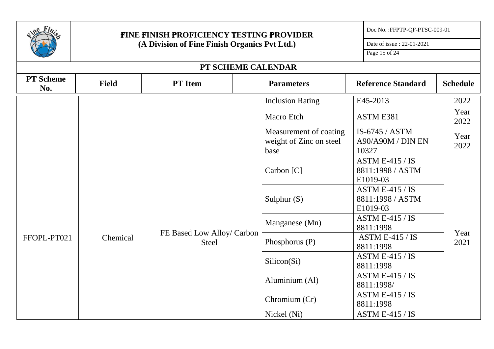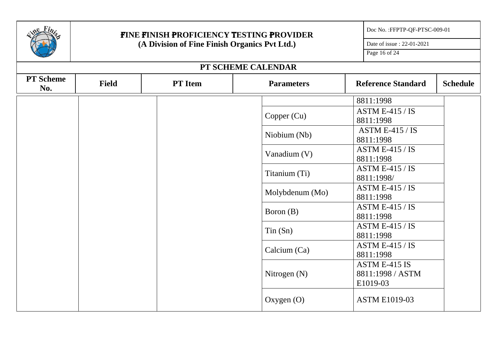| Fi <sub>n</sub>         | FINE FINISH PROFICIENCY TESTING PROVIDER      | Doc No.: FFPTP-QF-PTSC-009-01 |                    |                                               |
|-------------------------|-----------------------------------------------|-------------------------------|--------------------|-----------------------------------------------|
|                         | (A Division of Fine Finish Organics Pvt Ltd.) | Date of issue: 22-01-2021     |                    |                                               |
|                         |                                               |                               |                    | Page 16 of 24                                 |
|                         |                                               |                               | PT SCHEME CALENDAR |                                               |
| <b>PT</b> Scheme<br>No. | <b>Field</b>                                  | <b>PT</b> Item                | <b>Parameters</b>  | <b>Reference Standard</b><br><b>Schedule</b>  |
|                         |                                               |                               |                    | 8811:1998                                     |
|                         |                                               |                               | Copper $(Cu)$      | ASTM E-415 / IS<br>8811:1998                  |
|                         |                                               |                               | Niobium (Nb)       | ASTM E-415 / IS<br>8811:1998                  |
|                         |                                               |                               | Vanadium (V)       | ASTM E-415 / IS<br>8811:1998                  |
|                         |                                               |                               | Titanium (Ti)      | ASTM E-415 / IS<br>8811:1998/                 |
|                         |                                               |                               | Molybdenum (Mo)    | <b>ASTM E-415 / IS</b><br>8811:1998           |
|                         |                                               |                               | Boron (B)          | ASTM E-415 / IS<br>8811:1998                  |
|                         |                                               |                               | $T$ in $(Sn)$      | <b>ASTM E-415 / IS</b><br>8811:1998           |
|                         |                                               |                               | Calcium (Ca)       | <b>ASTM E-415 / IS</b><br>8811:1998           |
|                         |                                               |                               | Nitrogen $(N)$     | ASTM E-415 IS<br>8811:1998 / ASTM<br>E1019-03 |
|                         |                                               |                               | Oxygen $(O)$       | <b>ASTM E1019-03</b>                          |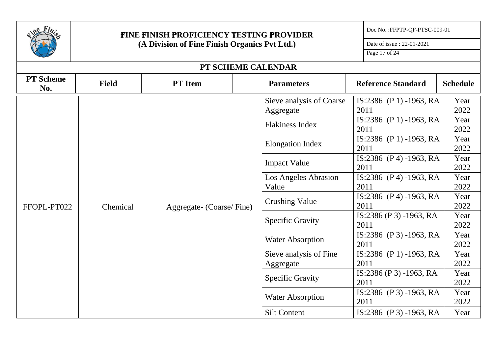| Fi <sub>n</sub>         | <b>FINE FINISH PROFICIENCY TESTING PROVIDER</b> |                          | Doc No.: FFPTP-QF-PTSC-009-01         |                                 |                 |
|-------------------------|-------------------------------------------------|--------------------------|---------------------------------------|---------------------------------|-----------------|
|                         | (A Division of Fine Finish Organics Pvt Ltd.)   |                          |                                       | Date of issue: 22-01-2021       |                 |
|                         |                                                 |                          |                                       | Page 17 of 24                   |                 |
|                         |                                                 |                          | PT SCHEME CALENDAR                    |                                 |                 |
| <b>PT</b> Scheme<br>No. | <b>Field</b>                                    | <b>PT</b> Item           | <b>Parameters</b>                     | <b>Reference Standard</b>       | <b>Schedule</b> |
|                         |                                                 |                          | Sieve analysis of Coarse<br>Aggregate | IS:2386 (P 1) -1963, RA<br>2011 | Year<br>2022    |
|                         |                                                 |                          | <b>Flakiness Index</b>                | IS:2386 (P 1) -1963, RA<br>2011 | Year<br>2022    |
|                         | Chemical                                        |                          | <b>Elongation Index</b>               | IS:2386 (P 1) -1963, RA<br>2011 | Year<br>2022    |
|                         |                                                 |                          | <b>Impact Value</b>                   | IS:2386 (P4) -1963, RA<br>2011  | Year<br>2022    |
|                         |                                                 |                          | <b>Los Angeles Abrasion</b><br>Value  | IS:2386 (P 4) -1963, RA<br>2011 | Year<br>2022    |
| FFOPL-PT022             |                                                 | Aggregate- (Coarse/Fine) | <b>Crushing Value</b>                 | IS:2386 (P 4) -1963, RA<br>2011 | Year<br>2022    |
|                         |                                                 |                          | <b>Specific Gravity</b>               | IS:2386 (P 3) -1963, RA<br>2011 | Year<br>2022    |
|                         |                                                 |                          | <b>Water Absorption</b>               | IS:2386 (P 3) -1963, RA<br>2011 | Year<br>2022    |
|                         |                                                 |                          | Sieve analysis of Fine                | IS:2386 (P 1) -1963, RA         | Year            |
|                         |                                                 |                          | Aggregate                             | 2011                            | 2022            |
|                         |                                                 |                          | <b>Specific Gravity</b>               | IS:2386 (P 3) -1963, RA<br>2011 | Year<br>2022    |
|                         |                                                 |                          |                                       | IS:2386 (P 3) -1963, RA         | Year            |
|                         |                                                 |                          | <b>Water Absorption</b>               | 2011                            | 2022            |
|                         |                                                 |                          | <b>Silt Content</b>                   | IS:2386 (P 3) -1963, RA         | Year            |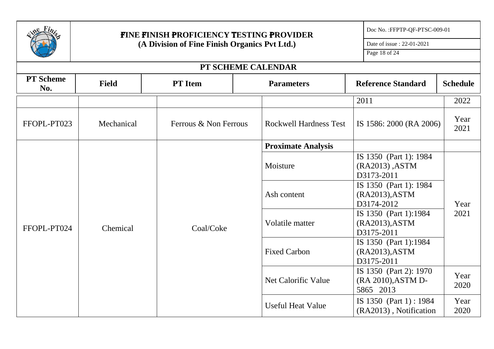| Fi                      | <b>FINE FINISH PROFICIENCY TESTING PROVIDER</b> |                           |                               |                                                       | Doc No.: FFPTP-QF-PTSC-009-01                             |                 |
|-------------------------|-------------------------------------------------|---------------------------|-------------------------------|-------------------------------------------------------|-----------------------------------------------------------|-----------------|
|                         | (A Division of Fine Finish Organics Pvt Ltd.)   | Date of issue: 22-01-2021 |                               |                                                       |                                                           |                 |
|                         |                                                 |                           |                               |                                                       | Page 18 of 24                                             |                 |
|                         |                                                 |                           | PT SCHEME CALENDAR            |                                                       |                                                           |                 |
| <b>PT</b> Scheme<br>No. | <b>Field</b>                                    | <b>PT</b> Item            | <b>Parameters</b>             |                                                       | <b>Reference Standard</b>                                 | <b>Schedule</b> |
|                         |                                                 |                           |                               |                                                       | 2011                                                      | 2022            |
| FFOPL-PT023             | Mechanical                                      | Ferrous & Non Ferrous     | <b>Rockwell Hardness Test</b> |                                                       | IS 1586: 2000 (RA 2006)                                   | Year<br>2021    |
|                         |                                                 |                           | <b>Proximate Analysis</b>     |                                                       |                                                           |                 |
|                         | Coal/Coke<br>Chemical                           |                           | Moisture                      |                                                       | IS 1350 (Part 1): 1984<br>(RA2013), ASTM<br>D3173-2011    |                 |
|                         |                                                 |                           | Ash content                   |                                                       | IS 1350 (Part 1): 1984<br>(RA2013), ASTM<br>D3174-2012    | Year            |
| FFOPL-PT024             |                                                 | Volatile matter           |                               | IS 1350 (Part 1):1984<br>(RA2013), ASTM<br>D3175-2011 | 2021                                                      |                 |
|                         |                                                 |                           | <b>Fixed Carbon</b>           |                                                       | IS 1350 (Part 1):1984<br>(RA2013), ASTM<br>D3175-2011     |                 |
|                         |                                                 |                           | Net Calorific Value           |                                                       | IS 1350 (Part 2): 1970<br>(RA 2010), ASTM D-<br>5865 2013 | Year<br>2020    |
|                         |                                                 |                           | <b>Useful Heat Value</b>      |                                                       | IS 1350 (Part 1): 1984<br>(RA2013), Notification          | Year<br>2020    |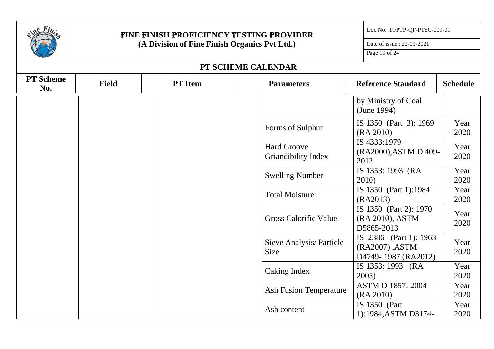| Fin                     | <b>FINE FINISH PROFICIENCY TESTING PROVIDER</b> | Doc No.: FFPTP-QF-PTSC-009-01 |                                                  |                                                                 |                 |
|-------------------------|-------------------------------------------------|-------------------------------|--------------------------------------------------|-----------------------------------------------------------------|-----------------|
|                         | (A Division of Fine Finish Organics Pvt Ltd.)   |                               |                                                  |                                                                 |                 |
|                         |                                                 |                               |                                                  | Page 19 of 24                                                   |                 |
|                         |                                                 |                               | PT SCHEME CALENDAR                               |                                                                 |                 |
| <b>PT</b> Scheme<br>No. | <b>Field</b>                                    | <b>PT</b> Item                | <b>Parameters</b>                                | <b>Reference Standard</b>                                       | <b>Schedule</b> |
|                         |                                                 |                               |                                                  | by Ministry of Coal<br>(June 1994)                              |                 |
|                         |                                                 |                               | Forms of Sulphur                                 | IS 1350 (Part 3): 1969<br>(RA 2010)                             | Year<br>2020    |
|                         |                                                 |                               | <b>Hard Groove</b><br><b>Griandibility Index</b> | IS 4333:1979<br>(RA2000), ASTM D 409-<br>2012                   | Year<br>2020    |
|                         |                                                 |                               | <b>Swelling Number</b>                           | IS 1353: 1993 (RA<br>2010)                                      | Year<br>2020    |
|                         |                                                 |                               | <b>Total Moisture</b>                            | IS 1350 (Part 1):1984<br>(RA2013)                               | Year<br>2020    |
|                         |                                                 |                               | <b>Gross Calorific Value</b>                     | IS 1350 (Part 2): 1970<br>(RA 2010), ASTM<br>D5865-2013         | Year<br>2020    |
|                         |                                                 |                               | Sieve Analysis/ Particle<br>Size                 | IS 2386 (Part 1): 1963<br>(RA2007), ASTM<br>D4749-1987 (RA2012) | Year<br>2020    |
|                         |                                                 |                               | Caking Index                                     | IS 1353: 1993 (RA<br>2005                                       | Year<br>2020    |
|                         |                                                 |                               | <b>Ash Fusion Temperature</b>                    | <b>ASTM D 1857: 2004</b><br>(RA 2010)                           | Year<br>2020    |
|                         |                                                 |                               | Ash content                                      | IS 1350 (Part<br>1):1984, ASTM D3174-                           | Year<br>2020    |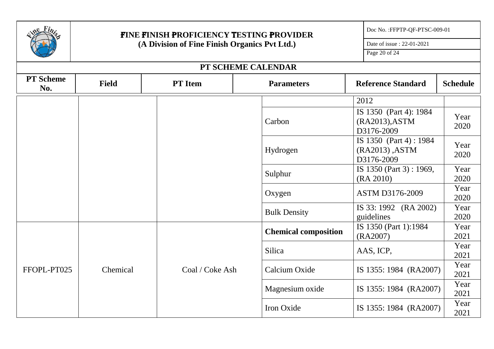| $e$ Fin                 |                                               | <b>FINE FINISH PROFICIENCY TESTING PROVIDER</b> |                             |                                                        | Doc No.: FFPTP-QF-PTSC-009-01 |
|-------------------------|-----------------------------------------------|-------------------------------------------------|-----------------------------|--------------------------------------------------------|-------------------------------|
|                         | (A Division of Fine Finish Organics Pvt Ltd.) |                                                 |                             | Date of issue: 22-01-2021                              |                               |
|                         |                                               |                                                 |                             | Page 20 of 24                                          |                               |
|                         |                                               |                                                 | PT SCHEME CALENDAR          |                                                        |                               |
| <b>PT</b> Scheme<br>No. | <b>Field</b>                                  | <b>PT</b> Item                                  | <b>Parameters</b>           | <b>Reference Standard</b>                              | <b>Schedule</b>               |
|                         |                                               |                                                 |                             | 2012                                                   |                               |
|                         |                                               |                                                 | Carbon                      | IS 1350 (Part 4): 1984<br>(RA2013), ASTM<br>D3176-2009 | Year<br>2020                  |
|                         |                                               |                                                 | Hydrogen                    | IS 1350 (Part 4): 1984<br>(RA2013), ASTM<br>D3176-2009 | Year<br>2020                  |
|                         |                                               |                                                 | Sulphur                     | IS 1350 (Part 3) : 1969,<br>(RA 2010)                  | Year<br>2020                  |
|                         |                                               |                                                 | Oxygen                      | ASTM D3176-2009                                        | Year<br>2020                  |
|                         |                                               |                                                 | <b>Bulk Density</b>         | IS 33: 1992 (RA 2002)<br>guidelines                    | Year<br>2020                  |
|                         |                                               |                                                 | <b>Chemical composition</b> | IS 1350 (Part 1):1984<br>(RA2007)                      | Year<br>2021                  |
|                         |                                               |                                                 | Silica                      | AAS, ICP,                                              | Year<br>2021                  |
| FFOPL-PT025             | Chemical                                      | Coal / Coke Ash                                 | Calcium Oxide               | IS 1355: 1984 (RA2007)                                 | Year<br>2021                  |
|                         |                                               |                                                 | Magnesium oxide             | IS 1355: 1984 (RA2007)                                 | Year<br>2021                  |
|                         |                                               |                                                 | Iron Oxide                  | IS 1355: 1984 (RA2007)                                 | Year<br>2021                  |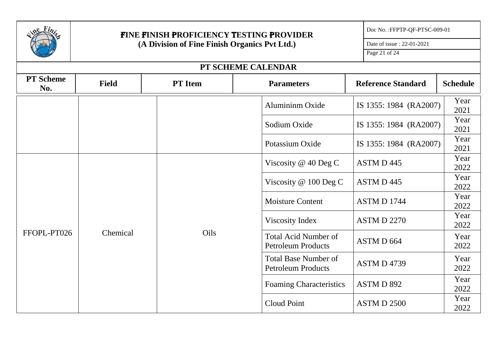|                         | FINE FINISH PROFICIENCY TESTING PROVIDER      |                                                                  | Doc No. : FFPTP-QF-PTSC-009-01                           |                           |              |  |
|-------------------------|-----------------------------------------------|------------------------------------------------------------------|----------------------------------------------------------|---------------------------|--------------|--|
|                         | (A Division of Fine Finish Organics Pvt Ltd.) |                                                                  |                                                          | Date of issue: 22-01-2021 |              |  |
|                         |                                               |                                                                  |                                                          | Page 21 of 24             |              |  |
|                         |                                               |                                                                  | PT SCHEME CALENDAR                                       |                           |              |  |
| <b>PT</b> Scheme<br>No. | <b>Field</b>                                  | <b>PT</b> Item<br><b>Reference Standard</b><br><b>Parameters</b> |                                                          |                           |              |  |
|                         |                                               |                                                                  | Alumininm Oxide                                          | IS 1355: 1984 (RA2007)    | Year<br>2021 |  |
|                         |                                               |                                                                  | Sodium Oxide                                             | IS 1355: 1984 (RA2007)    | Year<br>2021 |  |
|                         |                                               |                                                                  | Potassium Oxide                                          | IS 1355: 1984 (RA2007)    | Year<br>2021 |  |
|                         | Chemical                                      |                                                                  | Viscosity $@$ 40 Deg C                                   | ASTM D 445                | Year<br>2022 |  |
|                         |                                               |                                                                  | Viscosity $@$ 100 Deg C                                  | ASTM D 445                | Year<br>2022 |  |
|                         |                                               |                                                                  | <b>Moisture Content</b>                                  | <b>ASTM D 1744</b>        | Year<br>2022 |  |
|                         |                                               |                                                                  | Viscosity Index                                          | <b>ASTM D 2270</b>        | Year<br>2022 |  |
| FFOPL-PT026             |                                               | Oils                                                             | <b>Total Acid Number of</b><br><b>Petroleum Products</b> | ASTM D 664                | Year<br>2022 |  |
|                         |                                               |                                                                  | <b>Total Base Number of</b><br><b>Petroleum Products</b> | <b>ASTM D 4739</b>        | Year<br>2022 |  |
|                         |                                               |                                                                  | <b>Foaming Characteristics</b>                           | ASTM D 892                | Year<br>2022 |  |
|                         |                                               |                                                                  | Cloud Point                                              | <b>ASTM D 2500</b>        | Year<br>2022 |  |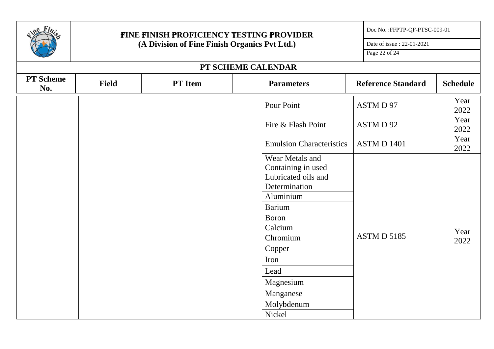|                         | <b>FINE FINISH PROFICIENCY TESTING PROVIDER</b> | Doc No.: FFPTP-QF-PTSC-009-01 |                                                                               |                           |                 |
|-------------------------|-------------------------------------------------|-------------------------------|-------------------------------------------------------------------------------|---------------------------|-----------------|
|                         | (A Division of Fine Finish Organics Pvt Ltd.)   |                               |                                                                               |                           |                 |
|                         |                                                 |                               |                                                                               | Page 22 of 24             |                 |
|                         |                                                 |                               | PT SCHEME CALENDAR                                                            |                           |                 |
| <b>PT</b> Scheme<br>No. | <b>Field</b>                                    | <b>PT</b> Item                | <b>Parameters</b>                                                             | <b>Reference Standard</b> | <b>Schedule</b> |
|                         |                                                 |                               | Pour Point                                                                    | ASTM D 97                 | Year<br>2022    |
|                         |                                                 |                               | Fire & Flash Point                                                            | ASTM D 92                 | Year<br>2022    |
|                         |                                                 |                               | <b>Emulsion Characteristics</b>                                               | <b>ASTM D 1401</b>        | Year<br>2022    |
|                         |                                                 |                               | Wear Metals and<br>Containing in used<br>Lubricated oils and<br>Determination |                           |                 |
|                         |                                                 |                               | Aluminium                                                                     |                           |                 |
|                         |                                                 |                               | <b>Barium</b>                                                                 |                           |                 |
|                         |                                                 |                               | <b>Boron</b><br>Calcium                                                       |                           |                 |
|                         |                                                 |                               | Chromium                                                                      | ASTM D 5185               | Year            |
|                         |                                                 |                               | Copper                                                                        |                           | 2022            |
|                         |                                                 |                               | Iron                                                                          |                           |                 |
|                         |                                                 |                               | Lead                                                                          |                           |                 |
|                         |                                                 |                               | Magnesium                                                                     |                           |                 |
|                         |                                                 |                               | Manganese                                                                     |                           |                 |
|                         |                                                 |                               | Molybdenum                                                                    |                           |                 |
|                         |                                                 |                               | Nickel                                                                        |                           |                 |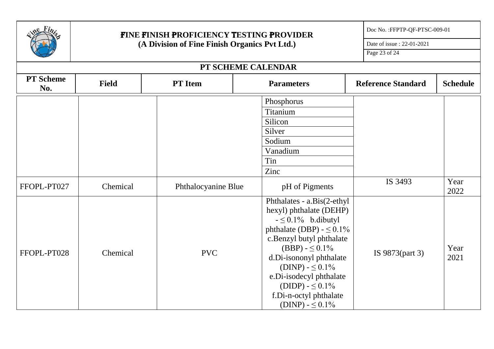| Fi <sub>n</sub>         | <b>FINE FINISH PROFICIENCY TESTING PROVIDER</b><br>(A Division of Fine Finish Organics Pvt Ltd.) |                     |                                                |                                                                                                                                                                                                                                                                             | Doc No.: FFPTP-QF-PTSC-009-01 |                 |
|-------------------------|--------------------------------------------------------------------------------------------------|---------------------|------------------------------------------------|-----------------------------------------------------------------------------------------------------------------------------------------------------------------------------------------------------------------------------------------------------------------------------|-------------------------------|-----------------|
|                         |                                                                                                  |                     |                                                |                                                                                                                                                                                                                                                                             | Date of issue: 22-01-2021     |                 |
|                         |                                                                                                  |                     |                                                |                                                                                                                                                                                                                                                                             | Page 23 of 24                 |                 |
|                         |                                                                                                  |                     | PT SCHEME CALENDAR                             |                                                                                                                                                                                                                                                                             |                               |                 |
| <b>PT</b> Scheme<br>No. | <b>Field</b>                                                                                     | <b>PT</b> Item      | <b>Parameters</b>                              |                                                                                                                                                                                                                                                                             | <b>Reference Standard</b>     | <b>Schedule</b> |
|                         |                                                                                                  |                     | Phosphorus                                     |                                                                                                                                                                                                                                                                             |                               |                 |
|                         |                                                                                                  |                     | Titanium                                       |                                                                                                                                                                                                                                                                             |                               |                 |
|                         |                                                                                                  |                     | Silicon                                        |                                                                                                                                                                                                                                                                             |                               |                 |
|                         |                                                                                                  |                     | Silver                                         |                                                                                                                                                                                                                                                                             |                               |                 |
|                         |                                                                                                  |                     | Sodium                                         |                                                                                                                                                                                                                                                                             |                               |                 |
|                         |                                                                                                  |                     | Vanadium                                       |                                                                                                                                                                                                                                                                             |                               |                 |
|                         |                                                                                                  |                     | Tin                                            |                                                                                                                                                                                                                                                                             |                               |                 |
|                         |                                                                                                  |                     | Zinc                                           |                                                                                                                                                                                                                                                                             |                               |                 |
| FFOPL-PT027             | Chemical                                                                                         | Phthalocyanine Blue | pH of Pigments                                 |                                                                                                                                                                                                                                                                             | IS 3493                       | Year<br>2022    |
| FFOPL-PT028             | Chemical                                                                                         | <b>PVC</b>          | $-50.1\%$ b.dibutyl<br>e.Di-isodecyl phthalate | Phthalates - a.Bis(2-ethyl<br>hexyl) phthalate (DEHP)<br>phthalate (DBP) - $\leq 0.1\%$<br>c.Benzyl butyl phthalate<br>$(BBP) - \leq 0.1\%$<br>d.Di-isononyl phthalate<br>$(DINP) - \leq 0.1\%$<br>$(DIDP) - \leq 0.1\%$<br>f.Di-n-octyl phthalate<br>$(DINP) - \leq 0.1\%$ | IS 9873(part 3)               | Year<br>2021    |